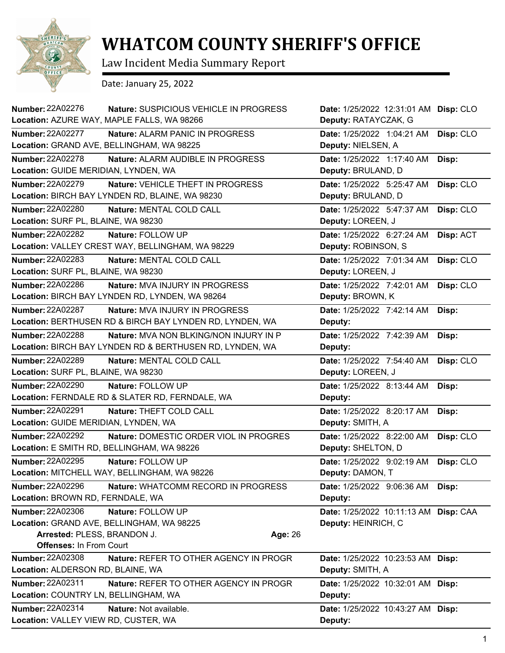

## **WHATCOM COUNTY SHERIFF'S OFFICE**

Law Incident Media Summary Report

Date: January 25, 2022

| <b>Number: 22A02276</b><br>Nature: SUSPICIOUS VEHICLE IN PROGRESS<br>Location: AZURE WAY, MAPLE FALLS, WA 98266 | Date: 1/25/2022 12:31:01 AM Disp: CLO<br>Deputy: RATAYCZAK, G |           |
|-----------------------------------------------------------------------------------------------------------------|---------------------------------------------------------------|-----------|
| <b>Number: 22A02277</b><br>Nature: ALARM PANIC IN PROGRESS                                                      | Date: 1/25/2022 1:04:21 AM                                    | Disp: CLO |
| Location: GRAND AVE, BELLINGHAM, WA 98225                                                                       | Deputy: NIELSEN, A                                            |           |
| Number: 22A02278<br>Nature: ALARM AUDIBLE IN PROGRESS                                                           | Date: 1/25/2022 1:17:40 AM                                    | Disp:     |
| Location: GUIDE MERIDIAN, LYNDEN, WA                                                                            | Deputy: BRULAND, D                                            |           |
| <b>Number: 22A02279</b><br>Nature: VEHICLE THEFT IN PROGRESS                                                    | Date: 1/25/2022 5:25:47 AM                                    | Disp: CLO |
| Location: BIRCH BAY LYNDEN RD, BLAINE, WA 98230                                                                 | Deputy: BRULAND, D                                            |           |
| <b>Number: 22A02280</b><br>Nature: MENTAL COLD CALL                                                             | Date: 1/25/2022 5:47:37 AM                                    | Disp: CLO |
| Location: SURF PL, BLAINE, WA 98230                                                                             | Deputy: LOREEN, J                                             |           |
| Number: 22A02282<br>Nature: FOLLOW UP                                                                           | Date: 1/25/2022 6:27:24 AM                                    | Disp: ACT |
| Location: VALLEY CREST WAY, BELLINGHAM, WA 98229                                                                | Deputy: ROBINSON, S                                           |           |
| <b>Number: 22A02283</b><br>Nature: MENTAL COLD CALL                                                             | Date: 1/25/2022 7:01:34 AM                                    | Disp: CLO |
| Location: SURF PL, BLAINE, WA 98230                                                                             | Deputy: LOREEN, J                                             |           |
| Number: 22A02286<br>Nature: MVA INJURY IN PROGRESS                                                              | Date: 1/25/2022 7:42:01 AM                                    | Disp: CLO |
| Location: BIRCH BAY LYNDEN RD, LYNDEN, WA 98264                                                                 | Deputy: BROWN, K                                              |           |
| <b>Number: 22A02287</b><br><b>Nature: MVA INJURY IN PROGRESS</b>                                                | Date: 1/25/2022 7:42:14 AM                                    | Disp:     |
| Location: BERTHUSEN RD & BIRCH BAY LYNDEN RD, LYNDEN, WA                                                        | Deputy:                                                       |           |
| <b>Number: 22A02288</b><br>Nature: MVA NON BLKING/NON INJURY IN P                                               | Date: 1/25/2022 7:42:39 AM                                    | Disp:     |
| Location: BIRCH BAY LYNDEN RD & BERTHUSEN RD, LYNDEN, WA                                                        | Deputy:                                                       |           |
| Number: 22A02289<br>Nature: MENTAL COLD CALL                                                                    | Date: 1/25/2022 7:54:40 AM                                    | Disp: CLO |
| Location: SURF PL, BLAINE, WA 98230                                                                             | Deputy: LOREEN, J                                             |           |
| <b>Number: 22A02290</b><br>Nature: FOLLOW UP                                                                    | Date: 1/25/2022 8:13:44 AM                                    | Disp:     |
| Location: FERNDALE RD & SLATER RD, FERNDALE, WA                                                                 | Deputy:                                                       |           |
| <b>Number: 22A02291</b><br>Nature: THEFT COLD CALL                                                              | Date: 1/25/2022 8:20:17 AM                                    | Disp:     |
| Location: GUIDE MERIDIAN, LYNDEN, WA                                                                            | Deputy: SMITH, A                                              |           |
| <b>Number: 22A02292</b><br>Nature: DOMESTIC ORDER VIOL IN PROGRES                                               | Date: 1/25/2022 8:22:00 AM                                    | Disp: CLO |
| Location: E SMITH RD, BELLINGHAM, WA 98226                                                                      | Deputy: SHELTON, D                                            |           |
| Number: 22A02295<br>Nature: FOLLOW UP                                                                           | Date: 1/25/2022 9:02:19 AM                                    | Disp: CLO |
| Location: MITCHELL WAY, BELLINGHAM, WA 98226                                                                    | Deputy: DAMON, T                                              |           |
| <b>Number: 22A02296</b><br>Nature: WHATCOMM RECORD IN PROGRESS                                                  | Date: 1/25/2022 9:06:36 AM                                    | Disp:     |
| Location: BROWN RD, FERNDALE, WA                                                                                | Deputy:                                                       |           |
| Number: 22A02306<br>Nature: FOLLOW UP                                                                           | Date: 1/25/2022 10:11:13 AM Disp: CAA                         |           |
| Location: GRAND AVE, BELLINGHAM, WA 98225                                                                       | Deputy: HEINRICH, C                                           |           |
| Arrested: PLESS, BRANDON J.<br>Age: 26                                                                          |                                                               |           |
| <b>Offenses: In From Court</b>                                                                                  |                                                               |           |
| Number: 22A02308<br>Nature: REFER TO OTHER AGENCY IN PROGR                                                      | Date: 1/25/2022 10:23:53 AM Disp:                             |           |
| Location: ALDERSON RD, BLAINE, WA                                                                               | Deputy: SMITH, A                                              |           |
| Number: 22A02311<br><b>Nature: REFER TO OTHER AGENCY IN PROGR</b>                                               | Date: 1/25/2022 10:32:01 AM Disp:                             |           |
| Location: COUNTRY LN, BELLINGHAM, WA                                                                            | Deputy:                                                       |           |
| Number: 22A02314<br>Nature: Not available.                                                                      | Date: 1/25/2022 10:43:27 AM Disp:                             |           |
| Location: VALLEY VIEW RD, CUSTER, WA                                                                            | Deputy:                                                       |           |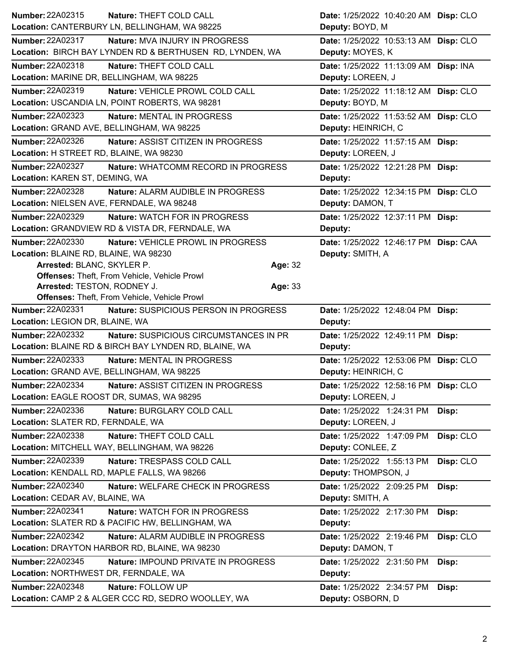| Number: 22A02315<br>Nature: THEFT COLD CALL                                                               | Date: 1/25/2022 10:40:20 AM Disp: CLO                    |
|-----------------------------------------------------------------------------------------------------------|----------------------------------------------------------|
| Location: CANTERBURY LN, BELLINGHAM, WA 98225                                                             | Deputy: BOYD, M                                          |
| <b>Number: 22A02317</b><br><b>Nature: MVA INJURY IN PROGRESS</b>                                          | Date: 1/25/2022 10:53:13 AM Disp: CLO                    |
| Location: BIRCH BAY LYNDEN RD & BERTHUSEN RD, LYNDEN, WA                                                  | Deputy: MOYES, K                                         |
| Number: 22A02318<br>Nature: THEFT COLD CALL                                                               | Date: 1/25/2022 11:13:09 AM Disp: INA                    |
| Location: MARINE DR, BELLINGHAM, WA 98225                                                                 | Deputy: LOREEN, J                                        |
| <b>Number: 22A02319</b><br>Nature: VEHICLE PROWL COLD CALL                                                | Date: 1/25/2022 11:18:12 AM Disp: CLO                    |
| Location: USCANDIA LN, POINT ROBERTS, WA 98281                                                            | Deputy: BOYD, M                                          |
| <b>Number: 22A02323</b><br>Nature: MENTAL IN PROGRESS                                                     | Date: 1/25/2022 11:53:52 AM Disp: CLO                    |
| Location: GRAND AVE, BELLINGHAM, WA 98225                                                                 | Deputy: HEINRICH, C                                      |
| Number: 22A02326<br>Nature: ASSIST CITIZEN IN PROGRESS                                                    | Date: 1/25/2022 11:57:15 AM Disp:                        |
| Location: H STREET RD, BLAINE, WA 98230                                                                   | Deputy: LOREEN, J                                        |
| <b>Number: 22A02327</b><br>Nature: WHATCOMM RECORD IN PROGRESS                                            | Date: 1/25/2022 12:21:28 PM Disp:                        |
| Location: KAREN ST, DEMING, WA                                                                            | Deputy:                                                  |
| Number: 22A02328<br>Nature: ALARM AUDIBLE IN PROGRESS                                                     | Date: 1/25/2022 12:34:15 PM Disp: CLO                    |
| Location: NIELSEN AVE, FERNDALE, WA 98248                                                                 | Deputy: DAMON, T                                         |
| Number: 22A02329<br>Nature: WATCH FOR IN PROGRESS                                                         | Date: 1/25/2022 12:37:11 PM Disp:                        |
| Location: GRANDVIEW RD & VISTA DR, FERNDALE, WA                                                           | Deputy:                                                  |
| Number: 22A02330<br>Nature: VEHICLE PROWL IN PROGRESS                                                     | Date: 1/25/2022 12:46:17 PM Disp: CAA                    |
| Location: BLAINE RD, BLAINE, WA 98230                                                                     | Deputy: SMITH, A                                         |
| Arrested: BLANC, SKYLER P.<br>Age: 32                                                                     |                                                          |
| Offenses: Theft, From Vehicle, Vehicle Prowl                                                              |                                                          |
| Arrested: TESTON, RODNEY J.<br>Age: 33                                                                    |                                                          |
| Offenses: Theft, From Vehicle, Vehicle Prowl<br>Number: 22A02331<br>Nature: SUSPICIOUS PERSON IN PROGRESS |                                                          |
|                                                                                                           |                                                          |
|                                                                                                           | Date: 1/25/2022 12:48:04 PM Disp:                        |
| Location: LEGION DR, BLAINE, WA                                                                           | Deputy:                                                  |
| <b>Number: 22A02332</b><br>Nature: SUSPICIOUS CIRCUMSTANCES IN PR                                         | Date: 1/25/2022 12:49:11 PM Disp:                        |
| Location: BLAINE RD & BIRCH BAY LYNDEN RD, BLAINE, WA                                                     | Deputy:                                                  |
| Number: 22A02333<br><b>Nature: MENTAL IN PROGRESS</b>                                                     | Date: 1/25/2022 12:53:06 PM Disp: CLO                    |
| Location: GRAND AVE, BELLINGHAM, WA 98225                                                                 | Deputy: HEINRICH, C                                      |
| Number: 22A02334<br>Nature: ASSIST CITIZEN IN PROGRESS                                                    | Date: 1/25/2022 12:58:16 PM Disp: CLO                    |
| Location: EAGLE ROOST DR, SUMAS, WA 98295                                                                 | Deputy: LOREEN, J                                        |
| Number: 22A02336<br>Nature: BURGLARY COLD CALL                                                            | Date: 1/25/2022 1:24:31 PM<br>Disp:                      |
| Location: SLATER RD, FERNDALE, WA                                                                         | Deputy: LOREEN, J                                        |
| Number: 22A02338<br>Nature: THEFT COLD CALL                                                               | Date: 1/25/2022 1:47:09 PM<br>Disp: CLO                  |
| Location: MITCHELL WAY, BELLINGHAM, WA 98226                                                              | Deputy: CONLEE, Z                                        |
| Number: 22A02339<br>Nature: TRESPASS COLD CALL                                                            | Date: 1/25/2022 1:55:13 PM<br>Disp: CLO                  |
| Location: KENDALL RD, MAPLE FALLS, WA 98266                                                               | Deputy: THOMPSON, J                                      |
| Number: 22A02340<br>Nature: WELFARE CHECK IN PROGRESS                                                     | Date: 1/25/2022 2:09:25 PM<br>Disp:                      |
| Location: CEDAR AV, BLAINE, WA                                                                            | Deputy: SMITH, A                                         |
| Number: 22A02341<br>Nature: WATCH FOR IN PROGRESS                                                         | Date: 1/25/2022 2:17:30 PM<br>Disp:                      |
| Location: SLATER RD & PACIFIC HW, BELLINGHAM, WA                                                          | Deputy:                                                  |
| Number: 22A02342<br>Nature: ALARM AUDIBLE IN PROGRESS                                                     | Disp: CLO<br>Date: 1/25/2022 2:19:46 PM                  |
| Location: DRAYTON HARBOR RD, BLAINE, WA 98230                                                             | Deputy: DAMON, T                                         |
| Number: 22A02345<br>Nature: IMPOUND PRIVATE IN PROGRESS                                                   | Date: 1/25/2022 2:31:50 PM<br>Disp:                      |
| Location: NORTHWEST DR, FERNDALE, WA                                                                      | Deputy:                                                  |
| <b>Number: 22A02348</b><br>Nature: FOLLOW UP<br>Location: CAMP 2 & ALGER CCC RD, SEDRO WOOLLEY, WA        | Date: 1/25/2022 2:34:57 PM<br>Disp:<br>Deputy: OSBORN, D |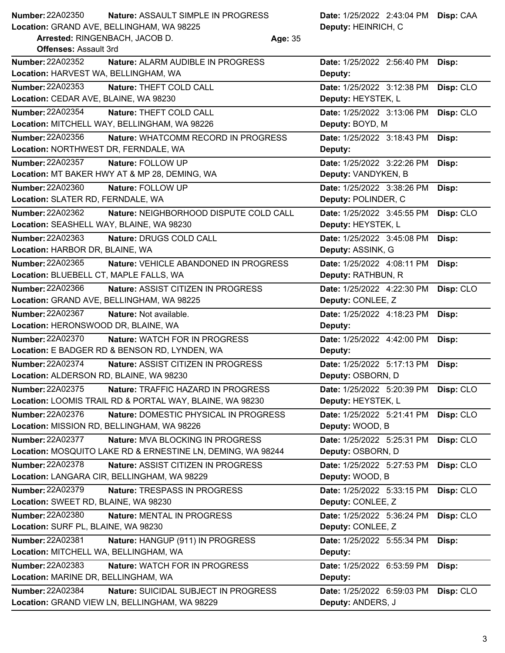| Number: 22A02350<br>Nature: ASSAULT SIMPLE IN PROGRESS<br>Date: 1/25/2022 2:43:04 PM Disp: CAA |  |  |
|------------------------------------------------------------------------------------------------|--|--|
|------------------------------------------------------------------------------------------------|--|--|

**Location:** GRAND AVE, BELLINGHAM, WA 98225

**Arrested:** RINGENBACH, JACOB D. **Age:** 35

**Deputy:** HEINRICH, C

| Offenses: Assault 3rd                                                   |                                      |           |
|-------------------------------------------------------------------------|--------------------------------------|-----------|
| <b>Number: 22A02352</b><br>Nature: ALARM AUDIBLE IN PROGRESS            | Date: 1/25/2022 2:56:40 PM           | Disp:     |
| Location: HARVEST WA, BELLINGHAM, WA                                    | Deputy:                              |           |
| Number: 22A02353<br>Nature: THEFT COLD CALL                             | Date: 1/25/2022 3:12:38 PM           | Disp: CLO |
| Location: CEDAR AVE, BLAINE, WA 98230                                   | Deputy: HEYSTEK, L                   |           |
| Number: 22A02354<br>Nature: THEFT COLD CALL                             | Date: 1/25/2022 3:13:06 PM           | Disp: CLO |
| Location: MITCHELL WAY, BELLINGHAM, WA 98226                            | Deputy: BOYD, M                      |           |
| Number: 22A02356<br>Nature: WHATCOMM RECORD IN PROGRESS                 | Date: 1/25/2022 3:18:43 PM           | Disp:     |
| Location: NORTHWEST DR, FERNDALE, WA                                    | Deputy:                              |           |
| <b>Number: 22A02357</b><br>Nature: FOLLOW UP                            | Date: 1/25/2022 3:22:26 PM           | Disp:     |
| Location: MT BAKER HWY AT & MP 28, DEMING, WA                           | Deputy: VANDYKEN, B                  |           |
| <b>Number: 22A02360</b><br>Nature: FOLLOW UP                            | Date: 1/25/2022 3:38:26 PM           | Disp:     |
| Location: SLATER RD, FERNDALE, WA                                       | Deputy: POLINDER, C                  |           |
| Number: 22A02362<br>Nature: NEIGHBORHOOD DISPUTE COLD CALL              | Date: 1/25/2022 3:45:55 PM           | Disp: CLO |
| Location: SEASHELL WAY, BLAINE, WA 98230                                | Deputy: HEYSTEK, L                   |           |
| <b>Number: 22A02363</b><br>Nature: DRUGS COLD CALL                      | Date: 1/25/2022 3:45:08 PM           | Disp:     |
| Location: HARBOR DR, BLAINE, WA                                         | Deputy: ASSINK, G                    |           |
| <b>Number: 22A02365</b><br>Nature: VEHICLE ABANDONED IN PROGRESS        | Date: 1/25/2022 4:08:11 PM           | Disp:     |
| Location: BLUEBELL CT, MAPLE FALLS, WA                                  | Deputy: RATHBUN, R                   |           |
| Number: 22A02366<br><b>Nature: ASSIST CITIZEN IN PROGRESS</b>           | Date: 1/25/2022 4:22:30 PM           | Disp: CLO |
| Location: GRAND AVE, BELLINGHAM, WA 98225                               | Deputy: CONLEE, Z                    |           |
| <b>Number: 22A02367</b><br>Nature: Not available.                       | Date: 1/25/2022 4:18:23 PM           | Disp:     |
| Location: HERONSWOOD DR, BLAINE, WA                                     | Deputy:                              |           |
| Number: 22A02370<br><b>Nature: WATCH FOR IN PROGRESS</b>                | Date: 1/25/2022 4:42:00 PM           | Disp:     |
| Location: E BADGER RD & BENSON RD, LYNDEN, WA                           | Deputy:                              |           |
| Number: 22A02374<br>Nature: ASSIST CITIZEN IN PROGRESS                  | Date: 1/25/2022 5:17:13 PM           | Disp:     |
| Location: ALDERSON RD, BLAINE, WA 98230                                 | Deputy: OSBORN, D                    |           |
| Number: 22A02375<br>Nature: TRAFFIC HAZARD IN PROGRESS                  | Date: 1/25/2022 5:20:39 PM           | Disp: CLO |
| Location: LOOMIS TRAIL RD & PORTAL WAY, BLAINE, WA 98230                | Deputy: HEYSTEK, L                   |           |
| <b>Number: 22A02376</b><br><b>Nature: DOMESTIC PHYSICAL IN PROGRESS</b> | Date: 1/25/2022 5:21:41 PM Disp: CLO |           |
| Location: MISSION RD, BELLINGHAM, WA 98226                              | Deputy: WOOD, B                      |           |
| <b>Number: 22A02377</b><br>Nature: MVA BLOCKING IN PROGRESS             | Date: 1/25/2022 5:25:31 PM           | Disp: CLO |
| Location: MOSQUITO LAKE RD & ERNESTINE LN, DEMING, WA 98244             | Deputy: OSBORN, D                    |           |
| Number: 22A02378<br>Nature: ASSIST CITIZEN IN PROGRESS                  | Date: 1/25/2022 5:27:53 PM           | Disp: CLO |
| Location: LANGARA CIR, BELLINGHAM, WA 98229                             | Deputy: WOOD, B                      |           |
| Number: 22A02379<br>Nature: TRESPASS IN PROGRESS                        | Date: 1/25/2022 5:33:15 PM           | Disp: CLO |
| Location: SWEET RD, BLAINE, WA 98230                                    | Deputy: CONLEE, Z                    |           |
| Number: 22A02380<br>Nature: MENTAL IN PROGRESS                          | Date: 1/25/2022 5:36:24 PM           | Disp: CLO |
| Location: SURF PL, BLAINE, WA 98230                                     | Deputy: CONLEE, Z                    |           |
| Number: 22A02381<br>Nature: HANGUP (911) IN PROGRESS                    | Date: 1/25/2022 5:55:34 PM           | Disp:     |
| Location: MITCHELL WA, BELLINGHAM, WA                                   | Deputy:                              |           |
| Number: 22A02383<br>Nature: WATCH FOR IN PROGRESS                       | Date: 1/25/2022 6:53:59 PM           | Disp:     |
| Location: MARINE DR, BELLINGHAM, WA                                     | Deputy:                              |           |
| Number: 22A02384<br>Nature: SUICIDAL SUBJECT IN PROGRESS                | Date: 1/25/2022 6:59:03 PM           | Disp: CLO |
| Location: GRAND VIEW LN, BELLINGHAM, WA 98229                           | Deputy: ANDERS, J                    |           |